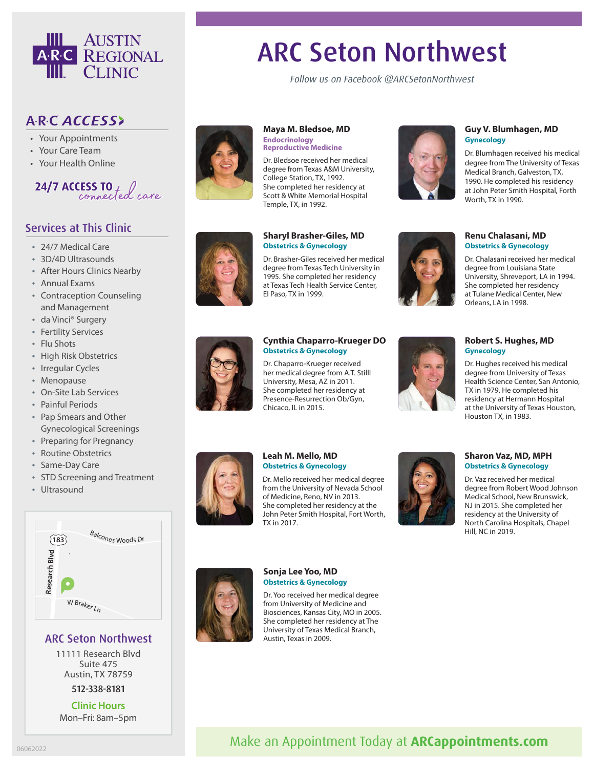

# ARC Seton Northwest

*Follow us on Facebook @ARCSetonNorthwest*

# ARC ACCESS>

- Your Appointments
- Your Care Team
- Your Health Online



## Services at This Clinic

- 24/7 Medical Care
- 3D/4D Ultrasounds
- After Hours Clinics Nearby
- Annual Exams
- Contraception Counseling and Management
- da Vinci® Surgery
- Fertility Services
- Flu Shots
- High Risk Obstetrics
- Irregular Cycles
- Menopause
- On-Site Lab Services
- Painful Periods
- Pap Smears and Other Gynecological Screenings
- Preparing for Pregnancy
- Routine Obstetrics
- Same-Day Care
- STD Screening and Treatment
- Ultrasound



# **Leah M. Mello, MD**

Dr. Mello received her medical degree from the University of Nevada School of Medicine, Reno, NV in 2013. She completed her residency at the John Peter Smith Hospital, Fort Worth, TX in 2017.



#### **Guy V. Blumhagen, MD Gynecology**

Dr. Blumhagen received his medical degree from The University of Texas Medical Branch, Galveston, TX, 1990. He completed his residency at John Peter Smith Hospital, Forth Worth, TX in 1990.

#### **Renu Chalasani, MD Obstetrics & Gynecology**

Dr. Chalasani received her medical degree from Louisiana State University, Shreveport, LA in 1994. She completed her residency at Tulane Medical Center, New Orleans, LA in 1998.



#### **Robert S. Hughes, MD Gynecology**

Dr. Hughes received his medical degree from University of Texas Health Science Center, San Antonio, TX in 1979. He completed his residency at Hermann Hospital at the University of Texas Houston, Houston TX, in 1983.

**Obstetrics & Gynecology**



#### **Sharon Vaz, MD, MPH Obstetrics & Gynecology**

Dr. Vaz received her medical degree from Robert Wood Johnson Medical School, New Brunswick, NJ in 2015. She completed her residency at the University of North Carolina Hospitals, Chapel Hill, NC in 2019.



### ARC Seton Northwest

11111 Research Blvd Suite 475 Austin, TX 78759

#### 512-338-8181

**Clinic Hours** Mon–Fri: 8am–5pm





#### **Cynthia Chaparro-Krueger DO Obstetrics & Gynecology**

**Maya M. Bledsoe, MD**

**Endocrinology Reproductive Medicine** Dr. Bledsoe received her medical degree from Texas A&M University, College Station, TX, 1992. She completed her residency at Scott & White Memorial Hospital

Temple, TX, in 1992.

El Paso, TX in 1999.

**Sharyl Brasher-Giles, MD Obstetrics & Gynecology**

Dr. Brasher-Giles received her medical degree from Texas Tech University in 1995. She completed her residency at Texas Tech Health Service Center,

Dr. Chaparro-Krueger received her medical degree from A.T. Stilll University, Mesa, AZ in 2011. She completed her residency at Presence-Resurrection Ob/Gyn, Chicaco, IL in 2015.

# Make an Appointment Today at **ARCappointments.com**



**Sonja Lee Yoo, MD Obstetrics & Gynecology** Dr. Yoo received her medical degree

from University of Medicine and Biosciences, Kansas City, MO in 2005. She completed her residency at The University of Texas Medical Branch, Austin, Texas in 2009.